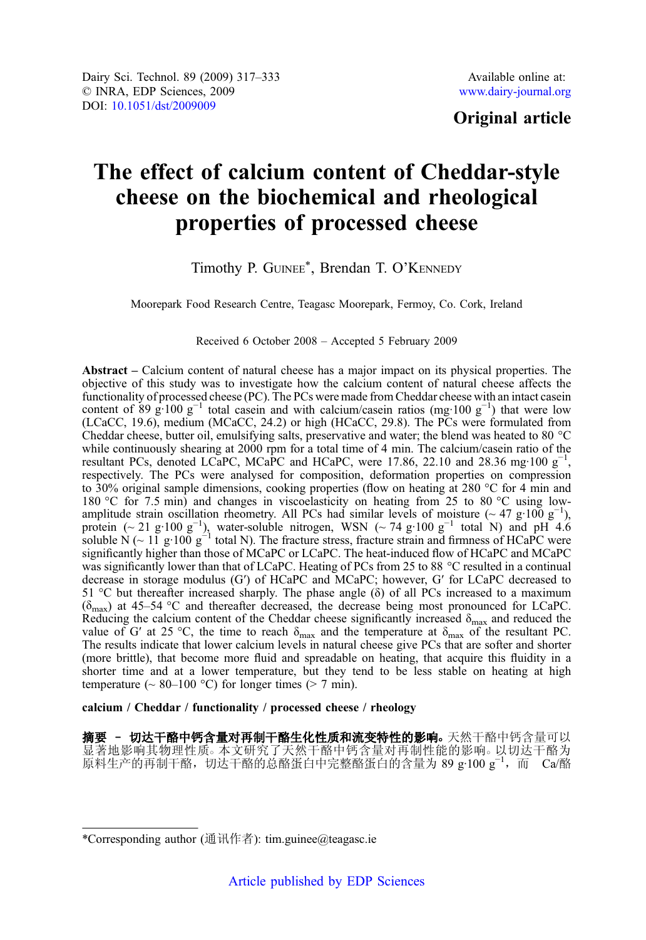# Original article

# The effect of calcium content of Cheddar-style cheese on the biochemical and rheological properties of processed cheese

## Timothy P. GUINEE\*, Brendan T. O'KENNEDY

Moorepark Food Research Centre, Teagasc Moorepark, Fermoy, Co. Cork, Ireland

Received 6 October 2008 – Accepted 5 February 2009

Abstract – Calcium content of natural cheese has a major impact on its physical properties. The objective of this study was to investigate how the calcium content of natural cheese affects the functionality of processed cheese (PC). The PCs were made from Cheddar cheese with an intact casein content of 89 g·100 g<sup>-1</sup> total casein and with calcium/casein ratios (mg·100 g<sup>-1</sup>) that were low (LCaCC, 19.6), medium (MCaCC, 24.2) or high (HCaCC, 29.8). The PCs were formulated from Cheddar cheese, butter oil, emulsifying salts, preservative and water; the blend was heated to 80 °C while continuously shearing at 2000 rpm for a total time of 4 min. The calcium/casein ratio of the resultant PCs, denoted LCaPC, MCaPC and HCaPC, were 17.86, 22.10 and 28.36 mg·100  $g^{-1}$ , respectively. The PCs were analysed for composition, deformation properties on compression to 30% original sample dimensions, cooking properties (flow on heating at 280 °C for 4 min and 180 °C for 7.5 min) and changes in viscoelasticity on heating from 25 to 80 °C using lowamplitude strain oscillation rheometry. All PCs had similar levels of moisture (~47 g·100 g<sup>-1</sup>), protein (~ 21 g·100 g<sup>-1</sup>), water-soluble nitrogen, WSN (~ 74 g·100 g<sup>-1</sup> total N) and pH 4.6 soluble N (~ 11 g·100 g<sup>-1</sup> total N). The fracture stress, fracture strain and firmness of HCaPC were significantly higher than those of MCaPC or LCaPC. The heat-induced flow of HCaPC and MCaPC was significantly lower than that of LCaPC. Heating of PCs from 25 to 88 °C resulted in a continual decrease in storage modulus (G′) of HCaPC and MCaPC; however, G′ for LCaPC decreased to 51 °C but thereafter increased sharply. The phase angle (δ) of all PCs increased to a maximum  $(\delta_{\text{max}})$  at 45–54 °C and thereafter decreased, the decrease being most pronounced for LCaPC. Reducing the calcium content of the Cheddar cheese significantly increased  $\delta_{\text{max}}$  and reduced the value of G' at 25 °C, the time to reach  $\delta_{\text{max}}$  and the temperature at  $\delta_{\text{max}}$  of the resultant PC. The results indicate that lower calcium levels in natural cheese give PCs that are softer and shorter (more brittle), that become more fluid and spreadable on heating, that acquire this fluidity in a shorter time and at a lower temperature, but they tend to be less stable on heating at high temperature ( $\sim 80{\text -}100$  °C) for longer times ( $> 7$  min).

calcium / Cheddar / functionality / processed cheese / rheology

摘要 - 切达干酪中钙含量对再制干酪生化性质和流变特性的影响。天然干酪中钙含量可以 显著地影响其物理性质。本文研究了天然干酪中钙含量对再制性能的影响。以切达干酪为 原料生产的再制干酪,切达干酪的总酪蛋白中完整酪蛋白的含量为 89 g·100 g−<sup>1</sup> ,而 Ca/酪

<sup>\*</sup>Corresponding author (通讯作者): tim.guinee@teagasc.ie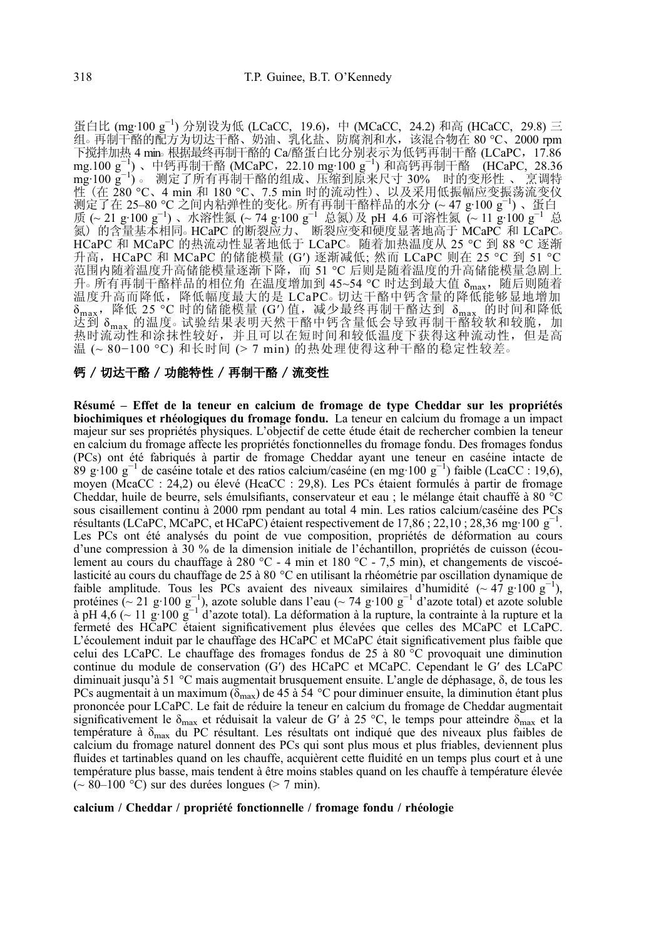蛋白比 (mg·100 g<sup>−1</sup>) 分别设为低 (LCaCC, 19.6), 中 (MCaCC, 24.2) 和高 (HCaCC, 29.8) 三 组。再制干酪的配方为切达干酪、奶油、乳化盐、防腐剂和水, 该混合物在 80 ℃、2000 rpm 下搅拌加热 4 min。根据最终再制干酪的 Ca/酪蛋白比分别表示为低钙再制干酪 (LCaPC,17.86) mg.100 g<sup>−1</sup>) 、中钙再制干酪 (MCaPC,22.10 mg·100 g<sup>−1</sup>) 和高钙再制干酪 (HCaPC,28.36<br>mg·100 g<sup>−1</sup>) 。 测定了所有再制干酪的组成、压缩到原来尺寸 30% 时的变形性 、 烹调特 性 (在 280 °C、4 min 和 180 °C、7.5 min 时的流动性)、以及采用低振幅应变振荡流变仪 测定了在 25–80 ℃ 之间内粘弹性的变化。所有再制干酪样品的水分 (~ 47 g·100 g<sup>−1</sup>) 、蛋白 质 (~ 21 g·100 g−<sup>1</sup> ) 、水溶性氮 (~ 74 g·100 g−<sup>1</sup> 总氮)及 pH 4.6 可溶性氮 (~ 11 g·100 g−<sup>1</sup> 总 氮) 的含量基本相同○ HCaPC 的断裂应力、 断裂应变和硬度显著地高于 MCaPC 和 LCaPC○ HCaPC 和 MCaPC 的热流动性显著地低于 LCaPC。随着加热温度从 25 °C 到 88 °C 逐渐 升高, HCaPC 和 MCaPC 的储能模量 (G') 逐渐减低; 然而 LCaPC 则在 25 °C 到 51 °C 范围内随着温度升高储能模量逐渐下降,而 51 °C 后则是随着温度的升高储能模量急剧上 升。所有再制干酪样品的相位角 在温度增加到 45~54 °C 时达到最大值 δmax,随后则随着 温度升高而降低,降低幅度最大的是 LCaPC○ 切达干酪中钙含量的降低能够显地增加  $\delta_{\text{max}}$ , 降低 25 °C 时的储能模量 (G')值, 减少最终再制干酪达到  $\delta_{\text{max}}$  的时间和降低 达到 δ<sub>max</sub> 的温度。试验结果表明天然干酪中钙含量低会导致再制干酪较软和较脆,加<br>热时流动性和涂抹性较好,并且可以在短时间和较低温度下获得这种流动性,但是高 温 (~80-100 °C) 和长时间 (> 7 min) 的热处理使得这种干酪的稳定性较差。

## 钙 / 切达干酪 / 功能特性 / 再制干酪 / 流变性

Résumé – Effet de la teneur en calcium de fromage de type Cheddar sur les propriétés biochimiques et rhéologiques du fromage fondu. La teneur en calcium du fromage a un impact majeur sur ses propriétés physiques. L'objectif de cette étude était de rechercher combien la teneur en calcium du fromage affecte les propriétés fonctionnelles du fromage fondu. Des fromages fondus (PCs) ont été fabriqués à partir de fromage Cheddar ayant une teneur en caséine intacte de 89 g·100 g−<sup>1</sup> de caséine totale et des ratios calcium/caséine (en mg·100 g−<sup>1</sup> ) faible (LcaCC : 19,6), moyen (McaCC : 24,2) ou élevé (HcaCC : 29,8). Les PCs étaient formulés à partir de fromage Cheddar, huile de beurre, sels émulsifiants, conservateur et eau ; le mélange était chauffé à 80 °C sous cisaillement continu à 2000 rpm pendant au total 4 min. Les ratios calcium/caséine des PCs résultants (LCaPC, MCaPC, et HCaPC) étaient respectivement de 17,86 ; 22,10 ; 28,36 mg·100 g<sup>−</sup> . Les PCs ont été analysés du point de vue composition, propriétés de déformation au cours d'une compression à 30 % de la dimension initiale de l'échantillon, propriétés de cuisson (écoulement au cours du chauffage à 280 °C - 4 min et 180 °C - 7,5 min), et changements de viscoélasticité au cours du chauffage de 25 à 80 °C en utilisant la rhéométrie par oscillation dynamique de faible amplitude. Tous les PCs avaient des niveaux similaires d'humidité (~ 47 g·100 g<sup>−1</sup>), protéines (~ 21 g·100 g<sup>−1</sup>), azote soluble dans l'eau (~ 74 g·100 g<sup>−1</sup> d'azote total) et azote soluble à pH 4,6 (~ 11 g·100 g−<sup>1</sup> d'azote total). La déformation à la rupture, la contrainte à la rupture et la fermeté des HCaPC étaient significativement plus élevées que celles des MCaPC et LCaPC. L'écoulement induit par le chauffage des HCaPC et MCaPC était significativement plus faible que celui des LCaPC. Le chauffage des fromages fondus de 25 à 80 °C provoquait une diminution continue du module de conservation (G′) des HCaPC et MCaPC. Cependant le G′ des LCaPC diminuait jusqu'à 51 °C mais augmentait brusquement ensuite. L'angle de déphasage, δ, de tous les PCs augmentait à un maximum ( $\delta_{\text{max}}$ ) de 45 à 54 °C pour diminuer ensuite, la diminution étant plus prononcée pour LCaPC. Le fait de réduire la teneur en calcium du fromage de Cheddar augmentait significativement le  $\delta_{\text{max}}$  et réduisait la valeur de G' à 25 °C, le temps pour atteindre  $\delta_{\text{max}}$  et la température à  $\delta_{\text{max}}$  du PC résultant. Les résultats ont indiqué que des niveaux plus faibles de calcium du fromage naturel donnent des PCs qui sont plus mous et plus friables, deviennent plus fluides et tartinables quand on les chauffe, acquièrent cette fluidité en un temps plus court et à une température plus basse, mais tendent à être moins stables quand on les chauffe à température élevée  $\sim$  80–100 °C) sur des durées longues (> 7 min).

#### calcium / Cheddar / propriété fonctionnelle / fromage fondu / rhéologie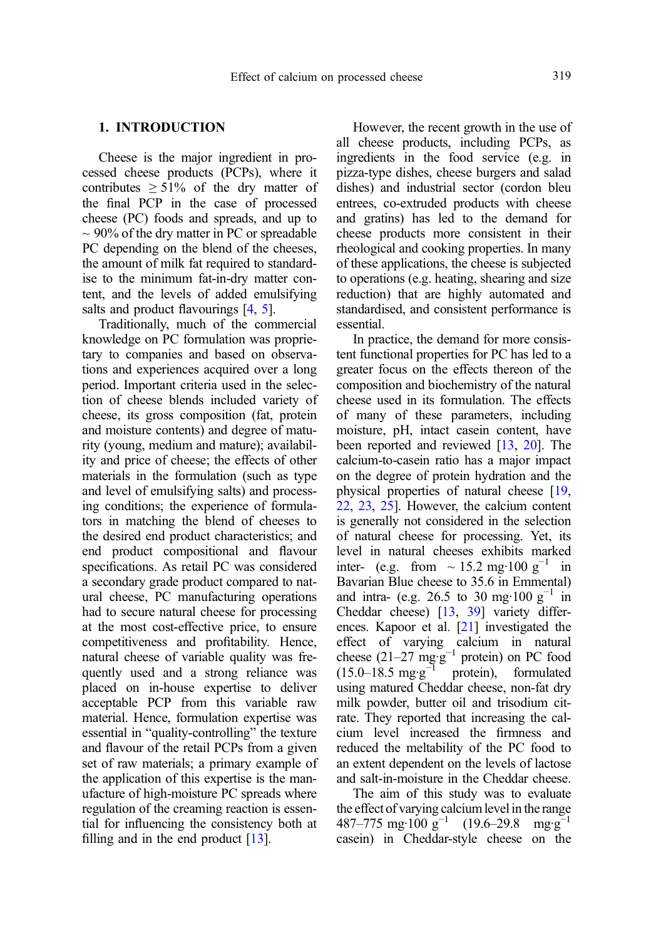## 1. INTRODUCTION

Cheese is the major ingredient in processed cheese products (PCPs), where it contributes  $\geq 51\%$  of the dry matter of the final PCP in the case of processed cheese (PC) foods and spreads, and up to  $\sim$  90% of the dry matter in PC or spreadable PC depending on the blend of the cheeses, the amount of milk fat required to standardise to the minimum fat-in-dry matter content, and the levels of added emulsifying salts and product flavourings [\[4,](#page-15-0) [5](#page-15-0)].

Traditionally, much of the commercial knowledge on PC formulation was proprietary to companies and based on observations and experiences acquired over a long period. Important criteria used in the selection of cheese blends included variety of cheese, its gross composition (fat, protein and moisture contents) and degree of maturity (young, medium and mature); availability and price of cheese; the effects of other materials in the formulation (such as type and level of emulsifying salts) and processing conditions; the experience of formulators in matching the blend of cheeses to the desired end product characteristics; and end product compositional and flavour specifications. As retail PC was considered a secondary grade product compared to natural cheese, PC manufacturing operations had to secure natural cheese for processing at the most cost-effective price, to ensure competitiveness and profitability. Hence, natural cheese of variable quality was frequently used and a strong reliance was placed on in-house expertise to deliver acceptable PCP from this variable raw material. Hence, formulation expertise was essential in "quality-controlling" the texture and flavour of the retail PCPs from a given set of raw materials; a primary example of the application of this expertise is the manufacture of high-moisture PC spreads where regulation of the creaming reaction is essential for influencing the consistency both at filling and in the end product  $[13]$  $[13]$ .

However, the recent growth in the use of all cheese products, including PCPs, as ingredients in the food service (e.g. in pizza-type dishes, cheese burgers and salad dishes) and industrial sector (cordon bleu entrees, co-extruded products with cheese and gratins) has led to the demand for cheese products more consistent in their rheological and cooking properties. In many of these applications, the cheese is subjected to operations (e.g. heating, shearing and size reduction) that are highly automated and standardised, and consistent performance is essential.

In practice, the demand for more consistent functional properties for PC has led to a greater focus on the effects thereon of the composition and biochemistry of the natural cheese used in its formulation. The effects of many of these parameters, including moisture, pH, intact casein content, have been reported and reviewed [\[13,](#page-15-0) [20](#page-15-0)]. The calcium-to-casein ratio has a major impact on the degree of protein hydration and the physical properties of natural cheese [[19](#page-15-0), [22](#page-15-0), [23](#page-15-0), [25](#page-16-0)]. However, the calcium content is generally not considered in the selection of natural cheese for processing. Yet, its level in natural cheeses exhibits marked inter- (e.g. from ~ 15.2 mg·100  $g^{-1}$  in Bavarian Blue cheese to 35.6 in Emmental) and intra- (e.g. 26.5 to 30 mg·100  $g^{-1}$  in Cheddar cheese) [\[13](#page-15-0), [39](#page-16-0)] variety differences. Kapoor et al. [\[21\]](#page-15-0) investigated the effect of varying calcium in natural cheese (21–27 mg·g<sup>-1</sup> protein) on PC food (15.0–18.5 mg·g<sup>-1</sup> protein), formulated using matured Cheddar cheese, non-fat dry milk powder, butter oil and trisodium citrate. They reported that increasing the calcium level increased the firmness and reduced the meltability of the PC food to an extent dependent on the levels of lactose and salt-in-moisture in the Cheddar cheese.

The aim of this study was to evaluate the effect of varying calcium level in the range 487–775 mg·100 g−<sup>1</sup> (19.6–29.8 mg·g−<sup>1</sup> casein) in Cheddar-style cheese on the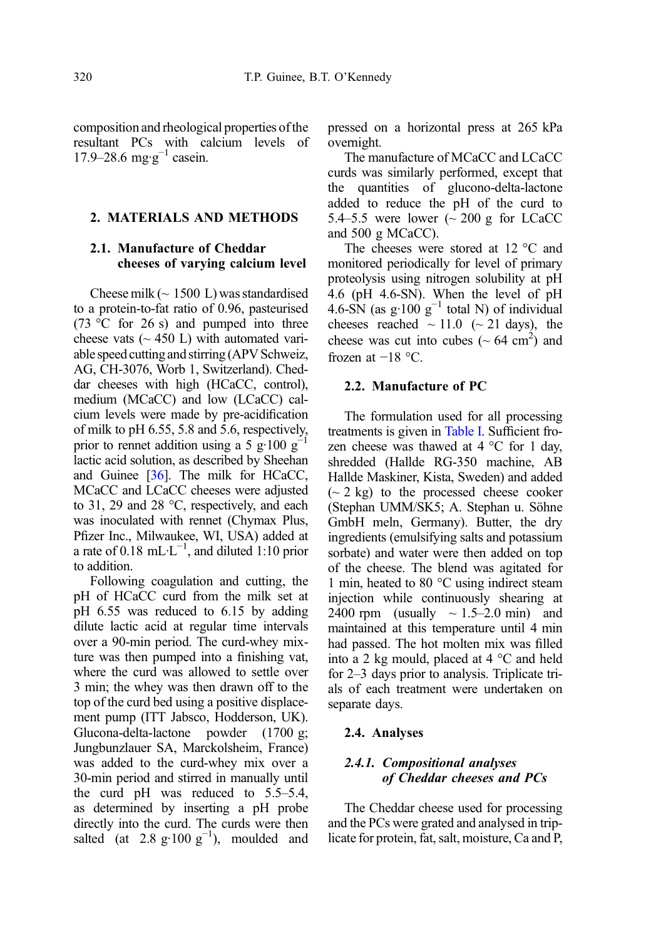composition and rheological properties of the resultant PCs with calcium levels of 17.9–28.6 mg·g<sup>-1</sup> casein.

## 2. MATERIALS AND METHODS

## 2.1. Manufacture of Cheddar cheeses of varying calcium level

Cheese milk ( $\sim 1500$  L) was standardised to a protein-to-fat ratio of 0.96, pasteurised  $(73 \degree C)$  for 26 s) and pumped into three cheese vats  $({\sim} 450 \text{ L})$  with automated variable speed cutting and stirring (APV Schweiz, AG, CH-3076, Worb 1, Switzerland). Cheddar cheeses with high (HCaCC, control), medium (MCaCC) and low (LCaCC) calcium levels were made by pre-acidification of milk to pH 6.55, 5.8 and 5.6, respectively, prior to rennet addition using a 5 g·100  $g^{-1}$ lactic acid solution, as described by Sheehan and Guinee [\[36\]](#page-16-0). The milk for HCaCC, MCaCC and LCaCC cheeses were adjusted to 31, 29 and 28 °C, respectively, and each was inoculated with rennet (Chymax Plus, Pfizer Inc., Milwaukee, WI, USA) added at a rate of 0.18 mL·L<sup>-1</sup>, and diluted 1:10 prior to addition.

Following coagulation and cutting, the pH of HCaCC curd from the milk set at pH 6.55 was reduced to 6.15 by adding dilute lactic acid at regular time intervals over a 90-min period. The curd-whey mixture was then pumped into a finishing vat, where the curd was allowed to settle over 3 min; the whey was then drawn off to the top of the curd bed using a positive displacement pump (ITT Jabsco, Hodderson, UK). Glucona-delta-lactone powder (1700 g; Jungbunzlauer SA, Marckolsheim, France) was added to the curd-whey mix over a 30-min period and stirred in manually until the curd pH was reduced to 5.5–5.4, as determined by inserting a pH probe directly into the curd. The curds were then salted (at 2.8  $g \cdot 100 g^{-1}$ ), moulded and

pressed on a horizontal press at 265 kPa overnight.

The manufacture of MCaCC and LCaCC curds was similarly performed, except that the quantities of glucono-delta-lactone added to reduce the pH of the curd to 5.4–5.5 were lower  $(~ 200 \text{ g}$  for LCaCC and 500 g MCaCC).

The cheeses were stored at 12 °C and monitored periodically for level of primary proteolysis using nitrogen solubility at pH 4.6 (pH 4.6-SN). When the level of pH 4.6-SN (as  $g \cdot 100 g^{-1}$  total N) of individual cheeses reached  $\sim$  11.0 ( $\sim$  21 days), the cheese was cut into cubes ( $\sim 64$  cm<sup>2</sup>) and frozen at −18 °C.

#### 2.2. Manufacture of PC

The formulation used for all processing treatments is given in [Table I.](#page-4-0) Sufficient frozen cheese was thawed at  $4^{\circ}$ C for 1 day, shredded (Hallde RG-350 machine, AB Hallde Maskiner, Kista, Sweden) and added  $({\sim} 2 \text{ kg})$  to the processed cheese cooker (Stephan UMM/SK5; A. Stephan u. Söhne GmbH meln, Germany). Butter, the dry ingredients (emulsifying salts and potassium sorbate) and water were then added on top of the cheese. The blend was agitated for 1 min, heated to 80 °C using indirect steam injection while continuously shearing at 2400 rpm (usually  $\sim 1.5-2.0$  min) and maintained at this temperature until 4 min had passed. The hot molten mix was filled into a 2 kg mould, placed at 4 °C and held for 2–3 days prior to analysis. Triplicate trials of each treatment were undertaken on separate days.

#### 2.4. Analyses

## 2.4.1. Compositional analyses of Cheddar cheeses and PCs

The Cheddar cheese used for processing and the PCs were grated and analysed in triplicate for protein, fat, salt, moisture, Ca and P,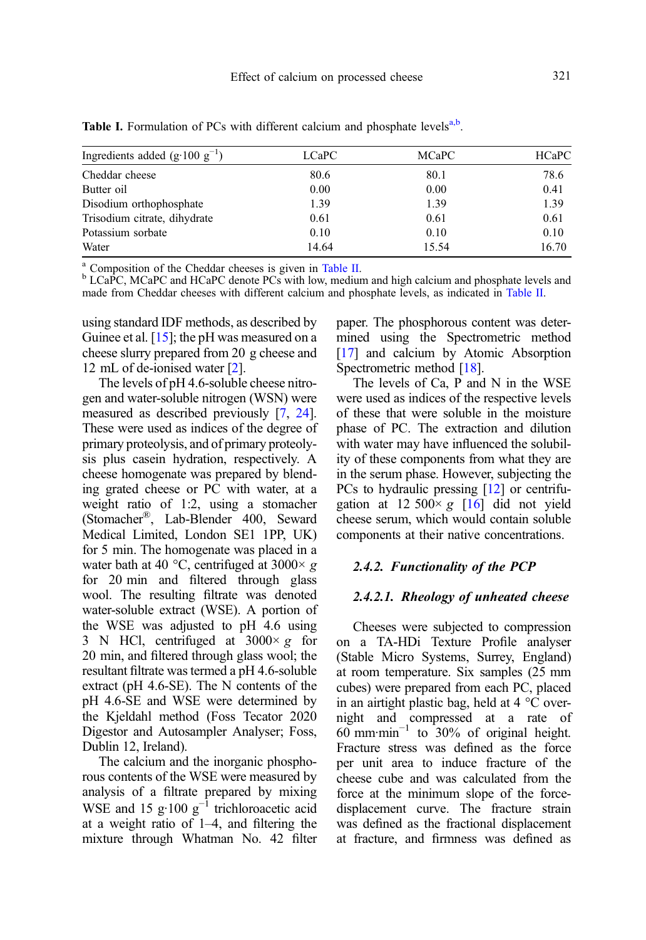| Ingredients added $(g \cdot 100 \text{ g}^{-1})$ | <b>LCaPC</b> | <b>MCaPC</b> | <b>HCaPC</b> |  |
|--------------------------------------------------|--------------|--------------|--------------|--|
| Cheddar cheese                                   | 80.6         | 80.1         | 78.6         |  |
| Butter oil                                       | 0.00         | 0.00         | 0.41         |  |
| Disodium orthophosphate                          | 1.39         | 1.39         | 1.39         |  |
| Trisodium citrate, dihydrate                     | 0.61         | 0.61         | 0.61         |  |
| Potassium sorbate                                | 0.10         | 0.10         | 0.10         |  |
| Water                                            | 14.64        | 15.54        | 16.70        |  |

<span id="page-4-0"></span>**Table I.** Formulation of PCs with different calcium and phosphate levels<sup>a,b</sup>.

<sup>a</sup> Composition of the Cheddar cheeses is given in [Table II](#page-6-0).<br><sup>b</sup> LCaPC, MCaPC and HCaPC denote PCs with low, medium and high calcium and phosphate levels and made from Cheddar cheeses with different calcium and phosphate levels, as indicated in [Table II.](#page-6-0)

using standard IDF methods, as described by Guinee et al. [[15](#page-15-0)]; the pH was measured on a cheese slurry prepared from 20 g cheese and 12 mL of de-ionised water [[2\]](#page-14-0).

The levels of pH 4.6-soluble cheese nitrogen and water-soluble nitrogen (WSN) were measured as described previously [[7](#page-15-0), [24](#page-15-0)]. These were used as indices of the degree of primary proteolysis, and of primary proteolysis plus casein hydration, respectively. A cheese homogenate was prepared by blending grated cheese or PC with water, at a weight ratio of 1:2, using a stomacher (Stomacher®, Lab-Blender 400, Seward Medical Limited, London SE1 1PP, UK) for 5 min. The homogenate was placed in a water bath at 40 °C, centrifuged at 3000 $\times g$ for 20 min and filtered through glass wool. The resulting filtrate was denoted water-soluble extract (WSE). A portion of the WSE was adjusted to pH 4.6 using 3 N HCl, centrifuged at  $3000 \times g$  for 20 min, and filtered through glass wool; the resultant filtrate was termed a pH 4.6-soluble extract (pH 4.6-SE). The N contents of the pH 4.6-SE and WSE were determined by the Kjeldahl method (Foss Tecator 2020 Digestor and Autosampler Analyser; Foss, Dublin 12, Ireland).

The calcium and the inorganic phosphorous contents of the WSE were measured by analysis of a filtrate prepared by mixing WSE and 15 g·100  $g^{-1}$  trichloroacetic acid at a weight ratio of 1–4, and filtering the mixture through Whatman No. 42 filter paper. The phosphorous content was determined using the Spectrometric method [[17\]](#page-15-0) and calcium by Atomic Absorption Spectrometric method [[18](#page-15-0)].

The levels of Ca, P and N in the WSE were used as indices of the respective levels of these that were soluble in the moisture phase of PC. The extraction and dilution with water may have influenced the solubility of these components from what they are in the serum phase. However, subjecting the PCs to hydraulic pressing [\[12\]](#page-15-0) or centrifugation at  $12\,500\times\,g$  [\[16\]](#page-15-0) did not yield cheese serum, which would contain soluble components at their native concentrations.

## 2.4.2. Functionality of the PCP

### 2.4.2.1. Rheology of unheated cheese

Cheeses were subjected to compression on a TA-HDi Texture Profile analyser (Stable Micro Systems, Surrey, England) at room temperature. Six samples (25 mm cubes) were prepared from each PC, placed in an airtight plastic bag, held at 4 °C overnight and compressed at a rate of  $60$  mm·min<sup>-1</sup> to 30% of original height. Fracture stress was defined as the force per unit area to induce fracture of the cheese cube and was calculated from the force at the minimum slope of the forcedisplacement curve. The fracture strain was defined as the fractional displacement at fracture, and firmness was defined as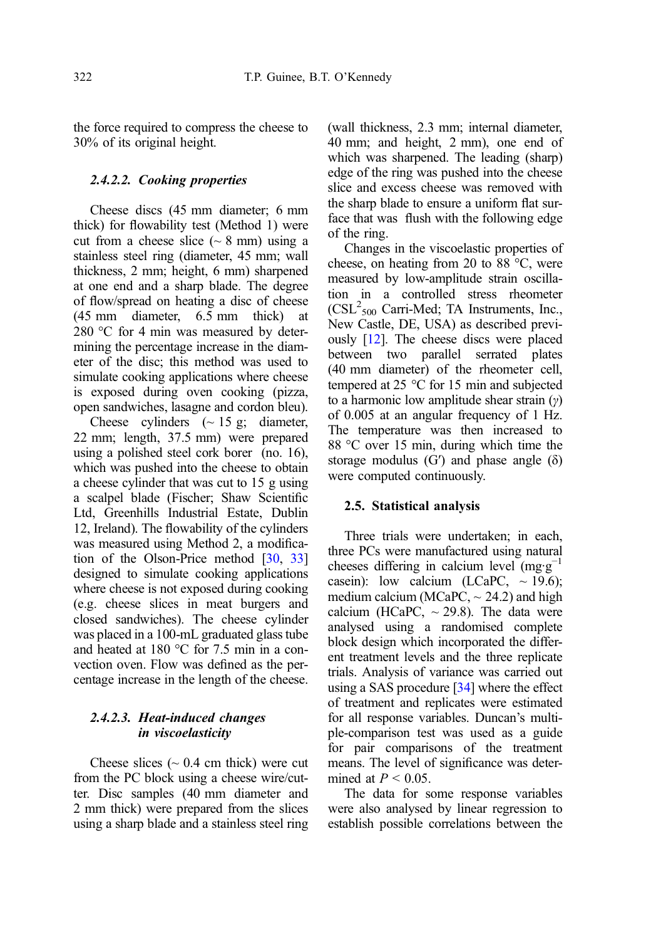the force required to compress the cheese to 30% of its original height.

## 2.4.2.2. Cooking properties

Cheese discs (45 mm diameter; 6 mm thick) for flowability test (Method 1) were cut from a cheese slice  $({\sim} 8 \text{ mm})$  using a stainless steel ring (diameter, 45 mm; wall thickness, 2 mm; height, 6 mm) sharpened at one end and a sharp blade. The degree of flow/spread on heating a disc of cheese (45 mm diameter, 6.5 mm thick) at 280 °C for 4 min was measured by determining the percentage increase in the diameter of the disc; this method was used to simulate cooking applications where cheese is exposed during oven cooking (pizza, open sandwiches, lasagne and cordon bleu).

Cheese cylinders  $({\sim 15 \text{ g}};$  diameter, 22 mm; length, 37.5 mm) were prepared using a polished steel cork borer (no. 16), which was pushed into the cheese to obtain a cheese cylinder that was cut to 15 g using a scalpel blade (Fischer; Shaw Scientific Ltd, Greenhills Industrial Estate, Dublin 12, Ireland). The flowability of the cylinders was measured using Method 2, a modification of the Olson-Price method [[30,](#page-16-0) [33](#page-16-0)] designed to simulate cooking applications where cheese is not exposed during cooking (e.g. cheese slices in meat burgers and closed sandwiches). The cheese cylinder was placed in a 100-mL graduated glass tube and heated at 180 °C for 7.5 min in a convection oven. Flow was defined as the percentage increase in the length of the cheese.

## 2.4.2.3. Heat-induced changes in viscoelasticity

Cheese slices  $({\sim} 0.4 \text{ cm thick})$  were cut from the PC block using a cheese wire/cutter. Disc samples (40 mm diameter and 2 mm thick) were prepared from the slices using a sharp blade and a stainless steel ring (wall thickness, 2.3 mm; internal diameter, 40 mm; and height, 2 mm), one end of which was sharpened. The leading (sharp) edge of the ring was pushed into the cheese slice and excess cheese was removed with the sharp blade to ensure a uniform flat surface that was flush with the following edge of the ring.

Changes in the viscoelastic properties of cheese, on heating from 20 to 88 °C, were measured by low-amplitude strain oscillation in a controlled stress rheometer  $\text{(CSL}^2_{500} \text{ Carri-Med; TA Instruments, Inc.},$ New Castle, DE, USA) as described previously [\[12\]](#page-15-0). The cheese discs were placed between two parallel serrated plates (40 mm diameter) of the rheometer cell, tempered at 25 °C for 15 min and subjected to a harmonic low amplitude shear strain (γ) of 0.005 at an angular frequency of 1 Hz. The temperature was then increased to 88 °C over 15 min, during which time the storage modulus (G') and phase angle  $(\delta)$ were computed continuously.

#### 2.5. Statistical analysis

Three trials were undertaken; in each, three PCs were manufactured using natural cheeses differing in calcium level (mg·g<sup>-1</sup>) casein): low calcium (LCaPC,  $\sim$  19.6); medium calcium (MCaPC,  $\sim$  24.2) and high calcium (HCaPC,  $\sim$  29.8). The data were analysed using a randomised complete block design which incorporated the different treatment levels and the three replicate trials. Analysis of variance was carried out using a SAS procedure [\[34\]](#page-16-0) where the effect of treatment and replicates were estimated for all response variables. Duncan's multiple-comparison test was used as a guide for pair comparisons of the treatment means. The level of significance was determined at  $P \leq 0.05$ .

The data for some response variables were also analysed by linear regression to establish possible correlations between the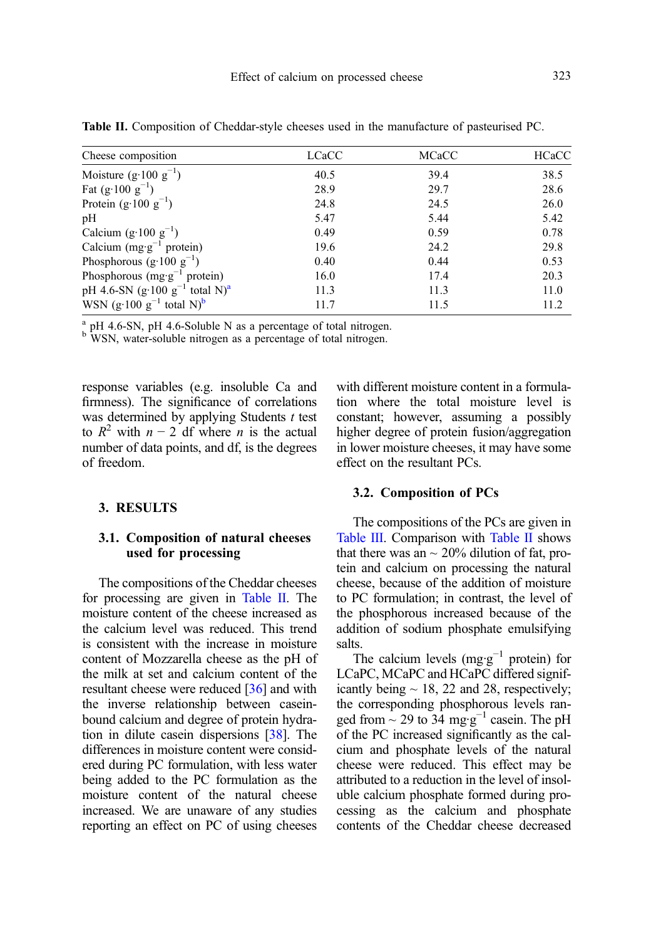| Cheese composition                                    | <b>LCaCC</b> | MCaCC | <b>HCaCC</b> |
|-------------------------------------------------------|--------------|-------|--------------|
| Moisture $(g \cdot 100 g^{-1})$                       | 40.5         | 39.4  | 38.5         |
| Fat $(g \cdot 100 \text{ g}^{-1})$                    | 28.9         | 29.7  | 28.6         |
| Protein $(g \cdot 100 g^{-1})$                        | 24.8         | 24.5  | 26.0         |
| pH                                                    | 5.47         | 5.44  | 5.42         |
| Calcium $(g \cdot 100 g^{-1})$                        | 0.49         | 0.59  | 0.78         |
| Calcium $(mg \cdot g^{-1})$ protein)                  | 19.6         | 24.2  | 29.8         |
| Phosphorous (g·100 $g^{-1}$ )                         | 0.40         | 0.44  | 0.53         |
| Phosphorous (mg·g <sup>-1</sup> protein)              | 16.0         | 17.4  | 20.3         |
| pH 4.6-SN $(g \cdot 100 g^{-1}$ total N) <sup>a</sup> | 11.3         | 11.3  | 11.0         |
| WSN $(g \cdot 100 \text{ g}^{-1} \text{ total N})^b$  | 11.7         | 11.5  | 11.2         |

<span id="page-6-0"></span>Table II. Composition of Cheddar-style cheeses used in the manufacture of pasteurised PC.

 $^a$  pH 4.6-SN, pH 4.6-Soluble N as a percentage of total nitrogen. b WSN, water-soluble nitrogen as a percentage of total nitrogen.

response variables (e.g. insoluble Ca and firmness). The significance of correlations was determined by applying Students  $t$  test to  $R^2$  with  $n-2$  df where *n* is the actual number of data points, and df, is the degrees of freedom.

## 3. RESULTS

## 3.1. Composition of natural cheeses used for processing

The compositions of the Cheddar cheeses for processing are given in Table II. The moisture content of the cheese increased as the calcium level was reduced. This trend is consistent with the increase in moisture content of Mozzarella cheese as the pH of the milk at set and calcium content of the resultant cheese were reduced [\[36](#page-16-0)] and with the inverse relationship between caseinbound calcium and degree of protein hydration in dilute casein dispersions [\[38\]](#page-16-0). The differences in moisture content were considered during PC formulation, with less water being added to the PC formulation as the moisture content of the natural cheese increased. We are unaware of any studies reporting an effect on PC of using cheeses with different moisture content in a formulation where the total moisture level is constant; however, assuming a possibly higher degree of protein fusion/aggregation in lower moisture cheeses, it may have some effect on the resultant PCs.

### 3.2. Composition of PCs

The compositions of the PCs are given in [Table III.](#page-7-0) Comparison with Table II shows that there was an  $\sim$  20% dilution of fat, protein and calcium on processing the natural cheese, because of the addition of moisture to PC formulation; in contrast, the level of the phosphorous increased because of the addition of sodium phosphate emulsifying salts.

The calcium levels (mg·g<sup>-1</sup> protein) for LCaPC, MCaPC and HCaPC differed significantly being  $\sim$  18, 22 and 28, respectively; the corresponding phosphorous levels ranged from  $\sim$  29 to 34 mg·g<sup>-1</sup> casein. The pH of the PC increased significantly as the calcium and phosphate levels of the natural cheese were reduced. This effect may be attributed to a reduction in the level of insoluble calcium phosphate formed during processing as the calcium and phosphate contents of the Cheddar cheese decreased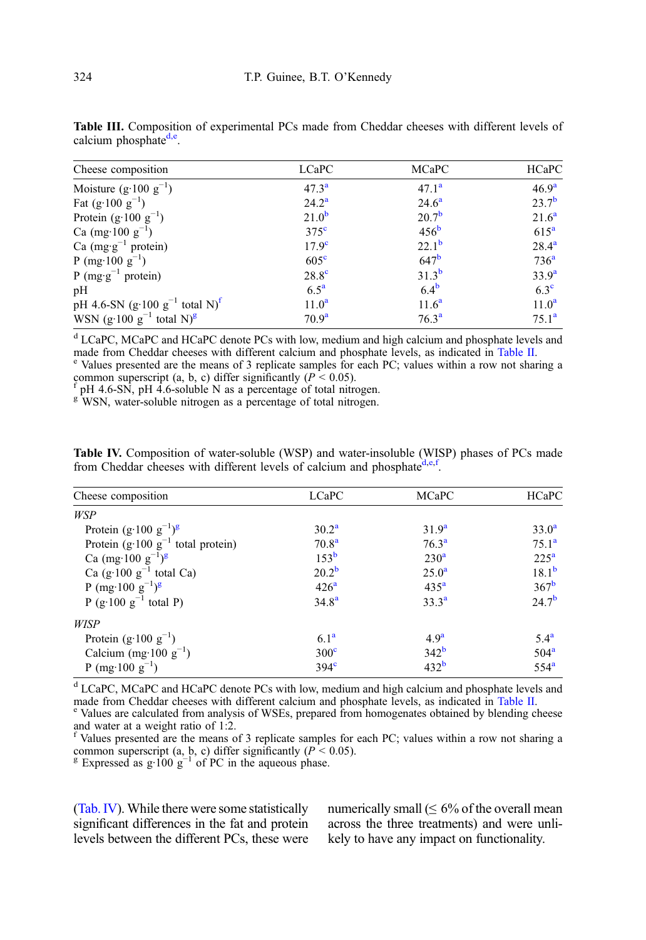| Cheese composition                                         | <b>LCaPC</b>      | <b>MCaPC</b>      | <b>HCaPC</b>      |
|------------------------------------------------------------|-------------------|-------------------|-------------------|
| Moisture $(g \cdot 100 g^{-1})$                            | $47.3^{\rm a}$    | $47.1^{\rm a}$    | 46.9 <sup>a</sup> |
| Fat $(g \cdot 100 \text{ g}^{-1})$                         | $24.2^{\rm a}$    | $24.6^{\rm a}$    | $23.7^{b}$        |
| Protein $(g \cdot 100 \text{ g}^{-1})$                     | 21.0 <sup>b</sup> | 20.7 <sup>b</sup> | $21.6^{\rm a}$    |
| Ca $(mg \cdot 100 g^{-1})$                                 | $375^\circ$       | 456 <sup>b</sup>  | 615 <sup>a</sup>  |
| Ca $(mg \cdot g^{-1}$ protein)                             | 17.9 <sup>c</sup> | $22.1^{\rm b}$    | $28.4^{a}$        |
| P (mg·100 g <sup>-1</sup> )                                | $605^\circ$       | 647 <sup>b</sup>  | 736 <sup>a</sup>  |
| P $(mg \cdot g^{-1}$ protein)                              | $28.8^{\circ}$    | $31.3^{b}$        | 33.9 <sup>a</sup> |
| pH                                                         | 6.5 <sup>a</sup>  | 6.4 <sup>b</sup>  | $6.3^\circ$       |
| pH 4.6-SN $(g \cdot 100 \text{ g}^{-1} \text{ total N})^f$ | $11.0^a$          | $11.6^a$          | 11.0 <sup>a</sup> |
| WSN $(g \cdot 100 \text{ g}^{-1} \text{ total N})^g$       | 70.9 <sup>a</sup> | $76.3^{\rm a}$    | $75.1^{\rm a}$    |

<span id="page-7-0"></span>Table III. Composition of experimental PCs made from Cheddar cheeses with different levels of calcium phosphate $\det^{\mathbf{d},\mathbf{e}}$ .

 $d$  LCaPC, MCaPC and HCaPC denote PCs with low, medium and high calcium and phosphate levels and made from Cheddar cheeses with different calcium and phosphate levels, as indicated in Table II.

<sup>e</sup> Values presented are the means of 3 replicate samples for each PC; values within a row not sharing a common superscript (a, b, c) differ significantly ( $P < 0.05$ ).

pH 4.6-SN, pH  $\overrightarrow{4.6}$ -soluble N as a percentage of total nitrogen.

<sup>g</sup> WSN, water-soluble nitrogen as a percentage of total nitrogen.

| <b>Table IV.</b> Composition of water-soluble (WSP) and water-insoluble (WISP) phases of PCs made |
|---------------------------------------------------------------------------------------------------|
| from Cheddar cheeses with different levels of calcium and phosphate <sup>d,e,f</sup> .            |
|                                                                                                   |

| Cheese composition                                    | <b>LCaPC</b>      | <b>MCaPC</b>      | <b>HCaPC</b>     |  |
|-------------------------------------------------------|-------------------|-------------------|------------------|--|
| <b>WSP</b>                                            |                   |                   |                  |  |
| Protein $(g \cdot 100 \text{ g}^{-1})^g$              | $30.2^{\rm a}$    | 31.9 <sup>a</sup> | $33.0^a$         |  |
| Protein $(g \cdot 100 \text{ g}^{-1})$ total protein) | 70.8 <sup>a</sup> | $76.3^{\rm a}$    | $75.1^{\rm a}$   |  |
| Ca $(mg \cdot 100 \text{ g}^{-1})^g$                  | 153 <sup>b</sup>  | 230 <sup>a</sup>  | 225 <sup>a</sup> |  |
| Ca $(g \cdot 100 g^{-1}$ total Ca)                    | 20.2 <sup>b</sup> | $25.0^{\rm a}$    | $18.1^{\rm b}$   |  |
| P (mg·100 g <sup>-1</sup> ) <sup>g</sup>              | 426 <sup>a</sup>  | 435 <sup>a</sup>  | 367 <sup>b</sup> |  |
| P (g·100 g <sup>-1</sup> total P)                     | $34.8^{a}$        | $33.3^{\rm a}$    | $24.7^{b}$       |  |
| <b>WISP</b>                                           |                   |                   |                  |  |
| Protein $(g \cdot 100 g^{-1})$                        | $6.1^{\rm a}$     | 4.9 <sup>a</sup>  | 5.4 <sup>a</sup> |  |
| Calcium (mg·100 $g^{-1}$ )                            | $300^{\circ}$     | 342 <sup>b</sup>  | 504 <sup>a</sup> |  |
| P (mg·100 g <sup>-1</sup> )                           | 394 <sup>c</sup>  | 432 <sup>b</sup>  | 554 <sup>a</sup> |  |

 $d$  LCaPC, MCaPC and HCaPC denote PCs with low, medium and high calcium and phosphate levels and made from Cheddar cheeses with different calcium and phosphate levels, as indicated in Table II.

<sup>e</sup> Values are calculated from analysis of WSEs, prepared from homogenates obtained by blending cheese and water at a weight ratio of 1:2.

<sup>f</sup> Values presented are the means of 3 replicate samples for each PC; values within a row not sharing a common superscript (a, b, c) differ significantly ( $P < 0.05$ ).

expressed as  $g:100 \text{ g}^{-1}$  of PC in the aqueous phase.

(Tab. IV). While there were some statistically significant differences in the fat and protein levels between the different PCs, these were numerically small  $(≤ 6%$  of the overall mean across the three treatments) and were unlikely to have any impact on functionality.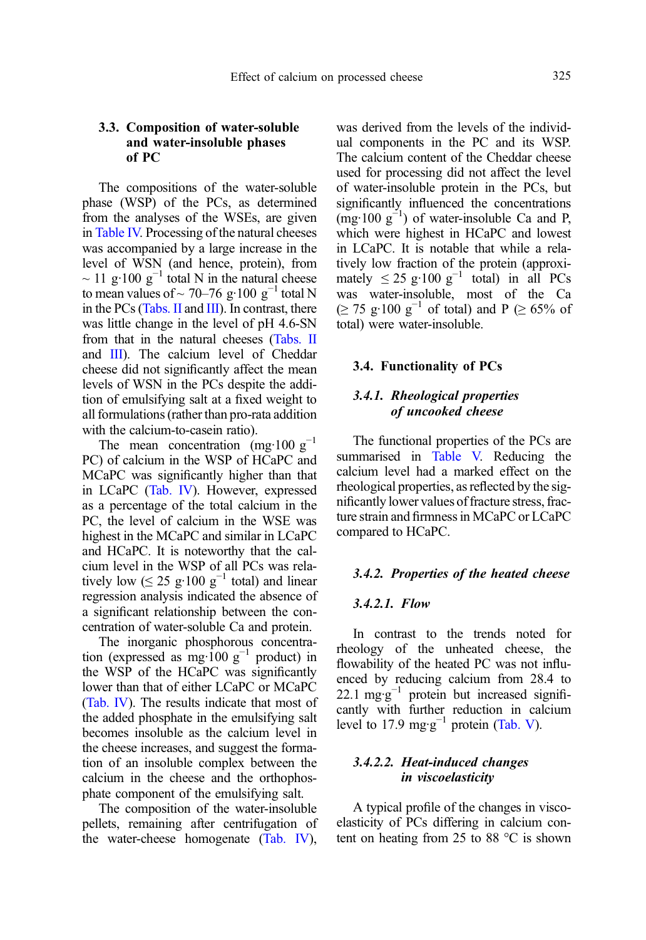## 3.3. Composition of water-soluble and water-insoluble phases of PC

The compositions of the water-soluble phase (WSP) of the PCs, as determined from the analyses of the WSEs, are given in [Table IV.](#page-7-0) Processing of the natural cheeses was accompanied by a large increase in the level of WSN (and hence, protein), from ~ 11 g·100 g<sup>-1</sup> total N in the natural cheese to mean values of ~ 70–76 g·100 g<sup>-1</sup> total N in the PCs [\(Tabs. II](#page-6-0) and [III\)](#page-7-0). In contrast, there was little change in the level of pH 4.6-SN from that in the natural cheeses [\(Tabs. II](#page-6-0) and [III\)](#page-7-0). The calcium level of Cheddar cheese did not significantly affect the mean levels of WSN in the PCs despite the addition of emulsifying salt at a fixed weight to all formulations (rather than pro-rata addition with the calcium-to-casein ratio).

The mean concentration (mg·100  $g^{-1}$ ) PC) of calcium in the WSP of HCaPC and MCaPC was significantly higher than that in LCaPC [\(Tab. IV\)](#page-7-0). However, expressed as a percentage of the total calcium in the PC, the level of calcium in the WSE was highest in the MCaPC and similar in LCaPC and HCaPC. It is noteworthy that the calcium level in the WSP of all PCs was relatively low ( $\leq 25$  g·100 g<sup>-1</sup> total) and linear regression analysis indicated the absence of a significant relationship between the concentration of water-soluble Ca and protein.

The inorganic phosphorous concentration (expressed as mg·100  $g^{-1}$  product) in the WSP of the HCaPC was significantly lower than that of either LCaPC or MCaPC ([Tab. IV\)](#page-7-0). The results indicate that most of the added phosphate in the emulsifying salt becomes insoluble as the calcium level in the cheese increases, and suggest the formation of an insoluble complex between the calcium in the cheese and the orthophosphate component of the emulsifying salt.

The composition of the water-insoluble pellets, remaining after centrifugation of the water-cheese homogenate ([Tab. IV\)](#page-7-0), was derived from the levels of the individual components in the PC and its WSP. The calcium content of the Cheddar cheese used for processing did not affect the level of water-insoluble protein in the PCs, but significantly influenced the concentrations  $(\text{mg} \cdot 100 \text{ g}^{-1})$  of water-insoluble Ca and P, which were highest in HCaPC and lowest in LCaPC. It is notable that while a relatively low fraction of the protein (approximately  $\leq 25$  g·100 g<sup>-1</sup> total) in all PCs was water-insoluble, most of the Ca  $(≥ 75 \text{ g} \cdot 100 \text{ g}^{-1} \text{ of total})$  and P ( $≥ 65\%$  of total) were water-insoluble.

#### 3.4. Functionality of PCs

## 3.4.1. Rheological properties of uncooked cheese

The functional properties of the PCs are summarised in [Table V.](#page-9-0) Reducing the calcium level had a marked effect on the rheological properties, as reflected by the significantly lower values of fracture stress, fracture strain and firmness in MCaPC or LCaPC compared to HCaPC.

#### 3.4.2. Properties of the heated cheese

#### 3.4.2.1. Flow

In contrast to the trends noted for rheology of the unheated cheese, the flowability of the heated PC was not influenced by reducing calcium from 28.4 to 22.1 mg·g<sup>-1</sup> protein but increased significantly with further reduction in calcium level to 17.9 mg·g<sup>-1</sup> protein [\(Tab. V](#page-9-0)).

## 3.4.2.2. Heat-induced changes in viscoelasticity

A typical profile of the changes in viscoelasticity of PCs differing in calcium content on heating from 25 to 88 °C is shown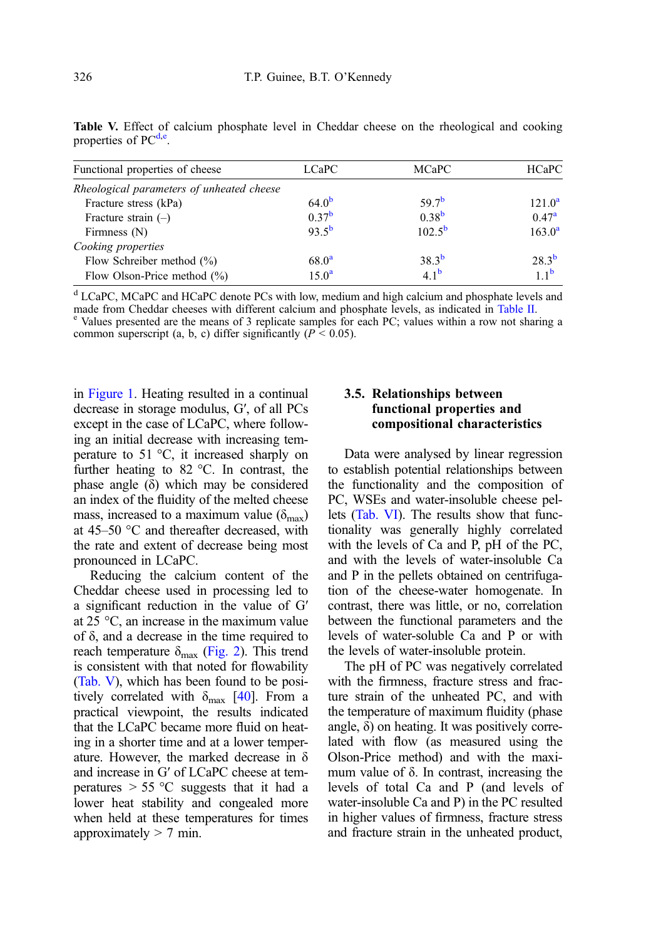| Functional properties of cheese           | <b>LCaPC</b>      | <b>MCaPC</b>      | <b>HCaPC</b>    |  |
|-------------------------------------------|-------------------|-------------------|-----------------|--|
| Rheological parameters of unheated cheese |                   |                   |                 |  |
| Fracture stress (kPa)                     | $64.0^{b}$        | 59.7 <sup>b</sup> | $121.0^a$       |  |
| Fracture strain $(-)$                     | 0.37 <sup>b</sup> | $0.38^{b}$        | $0.47^{\rm a}$  |  |
| Firmness (N)                              | $93.5^{b}$        | $102.5^{b}$       | $163.0^{\rm a}$ |  |
| Cooking properties                        |                   |                   |                 |  |
| Flow Schreiber method $(\% )$             | $68.0^{a}$        | $38.3^{b}$        | $28.3^{b}$      |  |
| Flow Olson-Price method $(\%)$            | $15.0^{\rm a}$    | $4.1^{b}$         | 1 <sup>b</sup>  |  |
|                                           |                   |                   |                 |  |

<span id="page-9-0"></span>Table V. Effect of calcium phosphate level in Cheddar cheese on the rheological and cooking properties of PC<sup>d,e</sup>.

 $d$  LCaPC, MCaPC and HCaPC denote PCs with low, medium and high calcium and phosphate levels and made from Cheddar cheeses with different calcium and phosphate levels, as indicated in Table II. <sup>e</sup> Values presented are the means of 3 replicate samples for each PC; values within a row not sharing a

common superscript (a, b, c) differ significantly ( $P \le 0.05$ ).

in [Figure 1](#page-10-0). Heating resulted in a continual decrease in storage modulus, G′, of all PCs except in the case of LCaPC, where following an initial decrease with increasing temperature to 51 °C, it increased sharply on further heating to 82 °C. In contrast, the phase angle (δ) which may be considered an index of the fluidity of the melted cheese mass, increased to a maximum value  $(\delta_{\text{max}})$ at 45–50 °C and thereafter decreased, with the rate and extent of decrease being most pronounced in LCaPC.

Reducing the calcium content of the Cheddar cheese used in processing led to a significant reduction in the value of G′ at  $25^{\circ}$ C, an increase in the maximum value of δ, and a decrease in the time required to reach temperature  $\delta_{\text{max}}$  [\(Fig. 2\)](#page-11-0). This trend is consistent with that noted for flowability (Tab. V), which has been found to be positively correlated with  $\delta_{\text{max}}$  [\[40\]](#page-16-0). From a practical viewpoint, the results indicated that the LCaPC became more fluid on heating in a shorter time and at a lower temperature. However, the marked decrease in δ and increase in G′ of LCaPC cheese at temperatures  $> 55$  °C suggests that it had a lower heat stability and congealed more when held at these temperatures for times approximately  $> 7$  min.

## 3.5. Relationships between functional properties and compositional characteristics

Data were analysed by linear regression to establish potential relationships between the functionality and the composition of PC, WSEs and water-insoluble cheese pellets ([Tab. VI](#page-12-0)). The results show that functionality was generally highly correlated with the levels of Ca and P, pH of the PC, and with the levels of water-insoluble Ca and P in the pellets obtained on centrifugation of the cheese-water homogenate. In contrast, there was little, or no, correlation between the functional parameters and the levels of water-soluble Ca and P or with the levels of water-insoluble protein.

The pH of PC was negatively correlated with the firmness, fracture stress and fracture strain of the unheated PC, and with the temperature of maximum fluidity (phase angle,  $\delta$ ) on heating. It was positively correlated with flow (as measured using the Olson-Price method) and with the maximum value of δ. In contrast, increasing the levels of total Ca and P (and levels of water-insoluble Ca and P) in the PC resulted in higher values of firmness, fracture stress and fracture strain in the unheated product,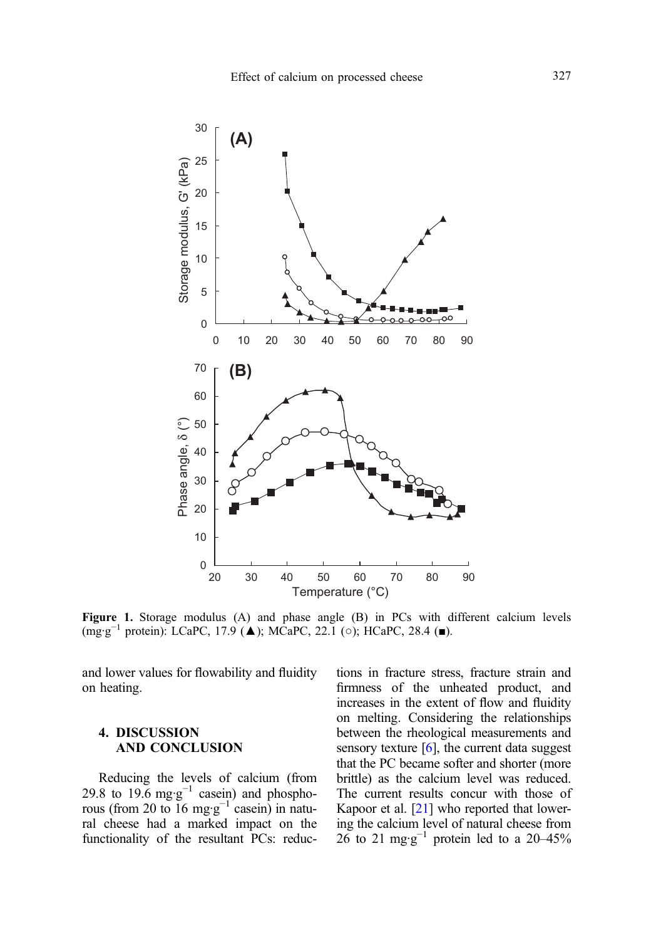<span id="page-10-0"></span>

Figure 1. Storage modulus (A) and phase angle (B) in PCs with different calcium levels (mg·g−<sup>1</sup> protein): LCaPC, 17.9 (▲); MCaPC, 22.1 (○); HCaPC, 28.4 (■).

and lower values for flowability and fluidity on heating.

## 4. DISCUSSION AND CONCLUSION

Reducing the levels of calcium (from 29.8 to 19.6 mg·g<sup>-1</sup> casein) and phosphorous (from 20 to 16 mg·g<sup>-1</sup> casein) in natural cheese had a marked impact on the functionality of the resultant PCs: reductions in fracture stress, fracture strain and firmness of the unheated product, and increases in the extent of flow and fluidity on melting. Considering the relationships between the rheological measurements and sensory texture  $[6]$  $[6]$ , the current data suggest that the PC became softer and shorter (more brittle) as the calcium level was reduced. The current results concur with those of Kapoor et al. [\[21\]](#page-15-0) who reported that lowering the calcium level of natural cheese from  $26$  to 21 mg·g<sup>-1</sup> protein led to a 20–45%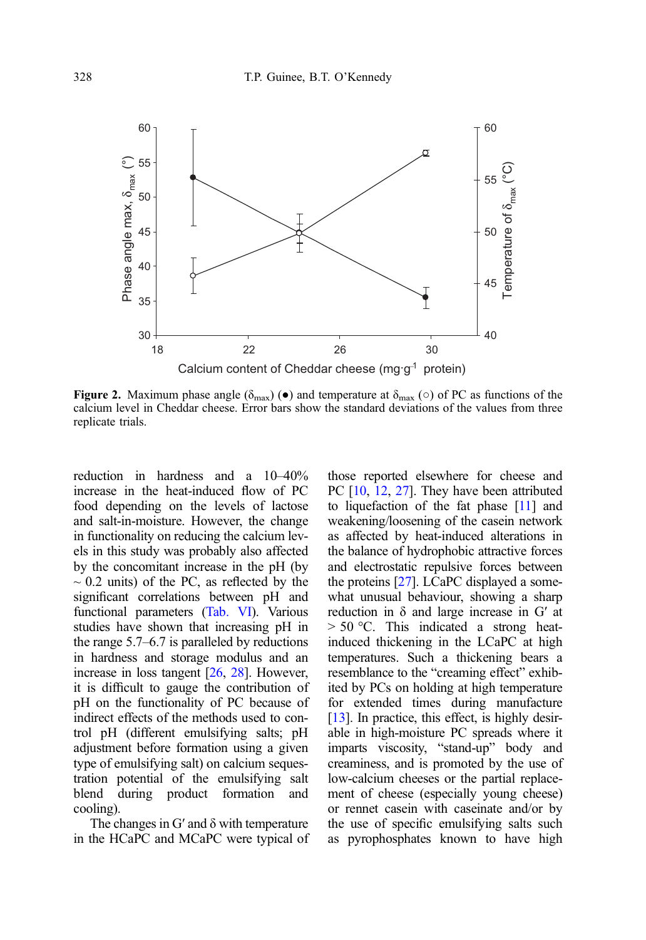<span id="page-11-0"></span>

**Figure 2.** Maximum phase angle  $(\delta_{\text{max}})$  ( $\bullet$ ) and temperature at  $\delta_{\text{max}}$  ( $\circ$ ) of PC as functions of the calcium level in Cheddar cheese. Error bars show the standard deviations of the values from three replicate trials.

reduction in hardness and a 10–40% increase in the heat-induced flow of PC food depending on the levels of lactose and salt-in-moisture. However, the change in functionality on reducing the calcium levels in this study was probably also affected by the concomitant increase in the pH (by  $\sim$  0.2 units) of the PC, as reflected by the significant correlations between pH and functional parameters [\(Tab. VI](#page-12-0)). Various studies have shown that increasing pH in the range 5.7–6.7 is paralleled by reductions in hardness and storage modulus and an increase in loss tangent [[26](#page-16-0), [28\]](#page-16-0). However, it is difficult to gauge the contribution of pH on the functionality of PC because of indirect effects of the methods used to control pH (different emulsifying salts; pH adjustment before formation using a given type of emulsifying salt) on calcium sequestration potential of the emulsifying salt blend during product formation and cooling).

The changes in  $G'$  and  $\delta$  with temperature in the HCaPC and MCaPC were typical of those reported elsewhere for cheese and PC [[10,](#page-15-0) [12,](#page-15-0) [27](#page-16-0)]. They have been attributed to liquefaction of the fat phase [\[11](#page-15-0)] and weakening/loosening of the casein network as affected by heat-induced alterations in the balance of hydrophobic attractive forces and electrostatic repulsive forces between the proteins [\[27](#page-16-0)]. LCaPC displayed a somewhat unusual behaviour, showing a sharp reduction in  $\delta$  and large increase in G' at  $> 50$  °C. This indicated a strong heatinduced thickening in the LCaPC at high temperatures. Such a thickening bears a resemblance to the "creaming effect" exhibited by PCs on holding at high temperature for extended times during manufacture  $[13]$  $[13]$  $[13]$ . In practice, this effect, is highly desirable in high-moisture PC spreads where it imparts viscosity, "stand-up" body and creaminess, and is promoted by the use of low-calcium cheeses or the partial replacement of cheese (especially young cheese) or rennet casein with caseinate and/or by the use of specific emulsifying salts such as pyrophosphates known to have high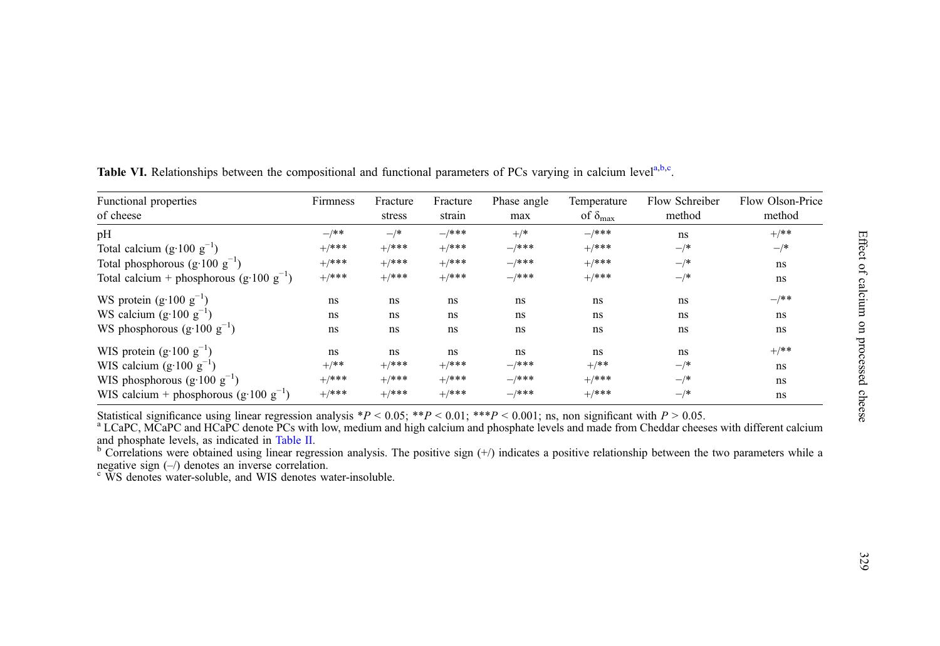| Functional properties                                      | Firmness   | Fracture   | Fracture   | Phase angle | Temperature              | Flow Schreiber | Flow Olson-Price |
|------------------------------------------------------------|------------|------------|------------|-------------|--------------------------|----------------|------------------|
| of cheese                                                  |            | stress     | strain     | max         | of $\delta_{\text{max}}$ | method         | method           |
| pH                                                         | $-$ /**    | $-$ /*     | $-$ /***   | $^{+/*}$    | $-$ /***                 | ns             | $^{+/**}$        |
| Total calcium $(g \cdot 100 \text{ g}^{-1})$               | $^{+/***}$ | $^{+/***}$ | $^{+/***}$ | $-$ /***    | $^{+/***}$               | $-$ /*         | $-$ /*           |
| Total phosphorous $(g \cdot 100 g^{-1})$                   | $^{+/***}$ | $^{+/***}$ | $^{+/***}$ | $-$ /***    | $^{+/***}$               | $-$ /*         | ns               |
| Total calcium + phosphorous $(g \cdot 100 \text{ g}^{-1})$ | $^{+/***}$ | $^{+/***}$ | $^{+/***}$ | $-$ /***    | $^{+/***}$               | $-$ /*         | ns               |
| WS protein $(g \cdot 100 \text{ g}^{-1})$                  | ns         | ns         | ns.        | ns          | ns.                      | ns             | $-$ /**          |
| WS calcium $(g \cdot 100 \text{ g}^{-1})$                  | ns         | ns         | ns         | ns          | ns                       | ns             | ns               |
| WS phosphorous $(g \cdot 100 g^{-1})$                      | ns         | ns         | ns         | ns          | ns                       | ns             | ns               |
| WIS protein $(g \cdot 100 g^{-1})$                         | ns         | ns         | ns         | ns          | ns                       | ns             | $^{+/**}$        |
| WIS calcium $(g \cdot 100 g^{-1})$                         | $^{+/**}$  | $^{+/***}$ | $^{+/***}$ | $-$ /***    | $^{+/**}$                | $-$ /*         | ns               |
| WIS phosphorous $(g \cdot 100 g^{-1})$                     | $^{+/***}$ | $^{+/***}$ | $^{+/***}$ | $-$ /***    | $^{+/***}$               | $-$ /*         | ns               |
| WIS calcium + phosphorous (g·100 $g^{-1}$ )                | $^{+/***}$ | $^{+/***}$ | $^{+/***}$ | $-$ /***    | $^{+/***}$               | $-$ /*         | ns               |

<span id="page-12-0"></span>Table VI. Relationships between the compositional and functional parameters of PCs varying in calcium level<sup>a,b,c</sup>.

Statistical significance using linear regression analysis  $*P < 0.05$ ;  $**P < 0.01$ ;  $**P < 0.001$ ; ns, non significant with  $P > 0.05$ .

<sup>a</sup> LCaPC, MCaPC and HCaPC denote PCs with low, medium and high calcium and phosphate levels and made from Cheddar cheeses with different calcium and phosphate levels, as indicated in [Table](#page-6-0) II.

<sup>b</sup> Correlations were obtained using linear regression analysis. The positive sign  $(+)$  indicates a positive relationship between the two parameters while a negative sign  $(-)$  denotes an inverse correlation.

c WS denotes water-soluble, and WIS denotes water-insoluble.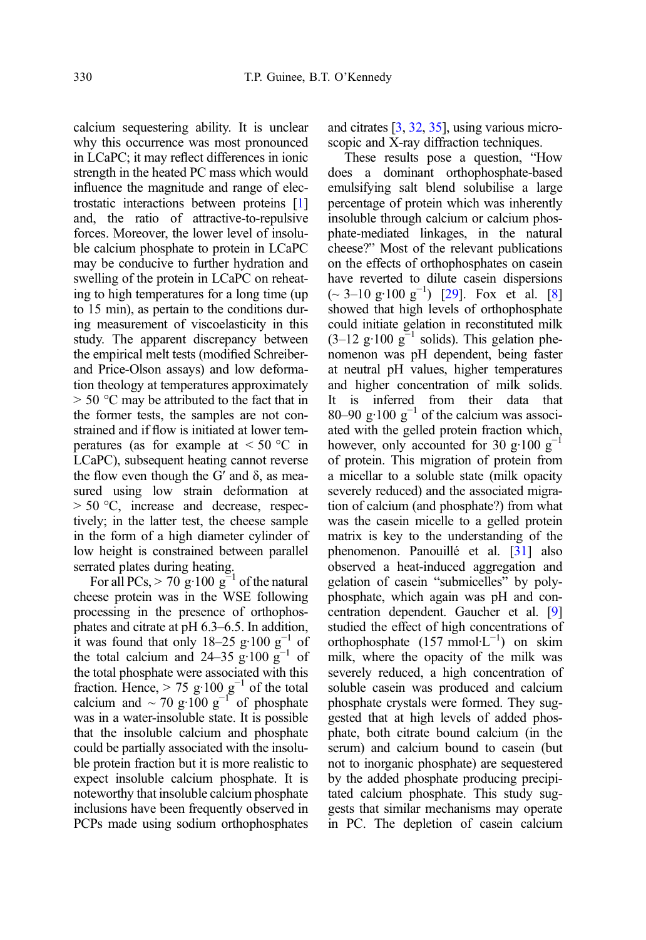calcium sequestering ability. It is unclear why this occurrence was most pronounced in LCaPC; it may reflect differences in ionic strength in the heated PC mass which would influence the magnitude and range of electrostatic interactions between proteins [\[1](#page-14-0)] and, the ratio of attractive-to-repulsive forces. Moreover, the lower level of insoluble calcium phosphate to protein in LCaPC may be conducive to further hydration and swelling of the protein in LCaPC on reheating to high temperatures for a long time (up to 15 min), as pertain to the conditions during measurement of viscoelasticity in this study. The apparent discrepancy between the empirical melt tests (modified Schreiberand Price-Olson assays) and low deformation theology at temperatures approximately > 50 °C may be attributed to the fact that in the former tests, the samples are not constrained and if flow is initiated at lower temperatures (as for example at  $\leq 50$  °C in LCaPC), subsequent heating cannot reverse the flow even though the G' and δ, as measured using low strain deformation at  $> 50$  °C, increase and decrease, respectively; in the latter test, the cheese sample in the form of a high diameter cylinder of low height is constrained between parallel serrated plates during heating.

For all PCs,  $> 70 \text{ g} \cdot 100 \text{ g}^{-1}$  of the natural cheese protein was in the WSE following processing in the presence of orthophosphates and citrate at pH 6.3–6.5. In addition, it was found that only 18–25 g·100  $g^{-1}$  of the total calcium and 24–35 g·100  $g^{-1}$  of the total phosphate were associated with this fraction. Hence, > 75 g·100 g<sup>-1</sup> of the total calcium and  $\sim$  70 g·100 g<sup>-1</sup> of phosphate was in a water-insoluble state. It is possible that the insoluble calcium and phosphate could be partially associated with the insoluble protein fraction but it is more realistic to expect insoluble calcium phosphate. It is noteworthy that insoluble calcium phosphate inclusions have been frequently observed in PCPs made using sodium orthophosphates and citrates [[3](#page-14-0), [32,](#page-16-0) [35](#page-16-0)], using various microscopic and X-ray diffraction techniques.

These results pose a question, "How does a dominant orthophosphate-based emulsifying salt blend solubilise a large percentage of protein which was inherently insoluble through calcium or calcium phosphate-mediated linkages, in the natural cheese?" Most of the relevant publications on the effects of orthophosphates on casein have reverted to dilute casein dispersions  $({\sim} 3{\text{--}}10 \text{ g} \cdot 100 \text{ g}^{-1})$  [[29](#page-16-0)]. Fox et al. [[8](#page-15-0)] showed that high levels of orthophosphate could initiate gelation in reconstituted milk  $(3–12 \text{ g}\cdot 100 \text{ g}^{-1}$  solids). This gelation phenomenon was pH dependent, being faster at neutral pH values, higher temperatures and higher concentration of milk solids. It is inferred from their data that 80–90 g·100  $g^{-1}$  of the calcium was associated with the gelled protein fraction which, however, only accounted for 30 g·100 g<sup>-1</sup> of protein. This migration of protein from a micellar to a soluble state (milk opacity severely reduced) and the associated migration of calcium (and phosphate?) from what was the casein micelle to a gelled protein matrix is key to the understanding of the phenomenon. Panouillé et al. [\[31](#page-16-0)] also observed a heat-induced aggregation and gelation of casein "submicelles" by polyphosphate, which again was pH and concentration dependent. Gaucher et al. [[9](#page-15-0)] studied the effect of high concentrations of orthophosphate (157 mmol·L−<sup>1</sup> ) on skim milk, where the opacity of the milk was severely reduced, a high concentration of soluble casein was produced and calcium phosphate crystals were formed. They suggested that at high levels of added phosphate, both citrate bound calcium (in the serum) and calcium bound to casein (but not to inorganic phosphate) are sequestered by the added phosphate producing precipitated calcium phosphate. This study suggests that similar mechanisms may operate in PC. The depletion of casein calcium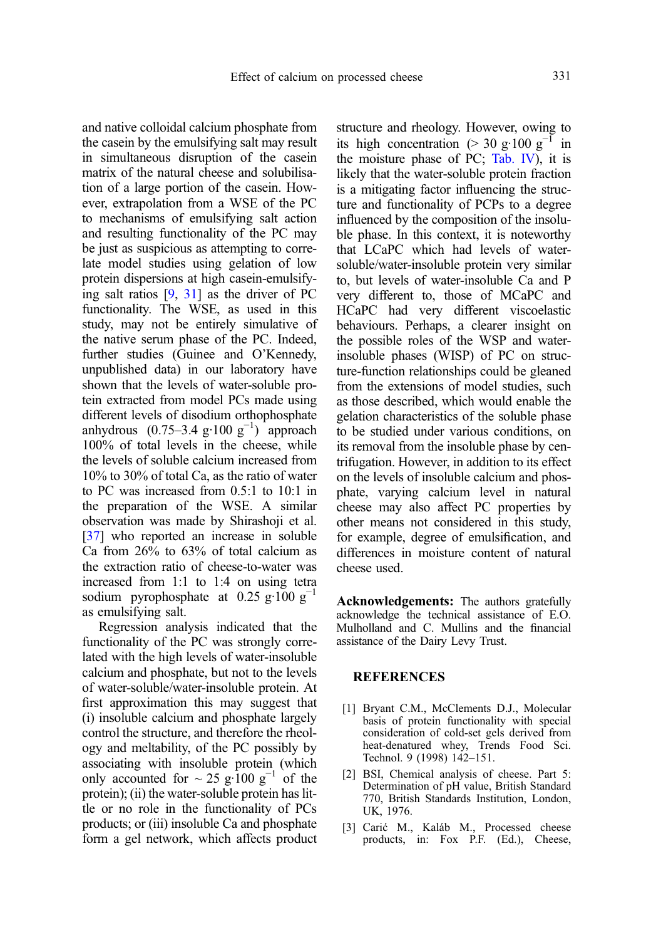<span id="page-14-0"></span>and native colloidal calcium phosphate from the casein by the emulsifying salt may result in simultaneous disruption of the casein matrix of the natural cheese and solubilisation of a large portion of the casein. However, extrapolation from a WSE of the PC to mechanisms of emulsifying salt action and resulting functionality of the PC may be just as suspicious as attempting to correlate model studies using gelation of low protein dispersions at high casein-emulsifying salt ratios [[9,](#page-15-0) [31\]](#page-16-0) as the driver of PC functionality. The WSE, as used in this study, may not be entirely simulative of the native serum phase of the PC. Indeed, further studies (Guinee and O'Kennedy, unpublished data) in our laboratory have shown that the levels of water-soluble protein extracted from model PCs made using different levels of disodium orthophosphate anhydrous  $(0.75-3.4 \text{ g} \cdot 100 \text{ g}^{-1})$  approach 100% of total levels in the cheese, while the levels of soluble calcium increased from 10% to 30% of total Ca, as the ratio of water to PC was increased from 0.5:1 to 10:1 in the preparation of the WSE. A similar observation was made by Shirashoji et al. [[37](#page-16-0)] who reported an increase in soluble Ca from 26% to 63% of total calcium as the extraction ratio of cheese-to-water was increased from 1:1 to 1:4 on using tetra sodium pyrophosphate at  $0.25$  g·100 g<sup>-1</sup> as emulsifying salt.

Regression analysis indicated that the functionality of the PC was strongly correlated with the high levels of water-insoluble calcium and phosphate, but not to the levels of water-soluble/water-insoluble protein. At first approximation this may suggest that (i) insoluble calcium and phosphate largely control the structure, and therefore the rheology and meltability, of the PC possibly by associating with insoluble protein (which only accounted for  $\sim$  25 g·100 g<sup>-1</sup> of the protein); (ii) the water-soluble protein has little or no role in the functionality of PCs products; or (iii) insoluble Ca and phosphate form a gel network, which affects product structure and rheology. However, owing to its high concentration (> 30 g·100 g<sup>-1</sup> in the moisture phase of PC; [Tab. IV\)](#page-7-0), it is likely that the water-soluble protein fraction is a mitigating factor influencing the structure and functionality of PCPs to a degree influenced by the composition of the insoluble phase. In this context, it is noteworthy that LCaPC which had levels of watersoluble/water-insoluble protein very similar to, but levels of water-insoluble Ca and P very different to, those of MCaPC and HCaPC had very different viscoelastic behaviours. Perhaps, a clearer insight on the possible roles of the WSP and waterinsoluble phases (WISP) of PC on structure-function relationships could be gleaned from the extensions of model studies, such as those described, which would enable the gelation characteristics of the soluble phase to be studied under various conditions, on its removal from the insoluble phase by centrifugation. However, in addition to its effect on the levels of insoluble calcium and phosphate, varying calcium level in natural cheese may also affect PC properties by other means not considered in this study, for example, degree of emulsification, and differences in moisture content of natural cheese used.

Acknowledgements: The authors gratefully acknowledge the technical assistance of E.O. Mulholland and C. Mullins and the financial assistance of the Dairy Levy Trust.

#### **REFERENCES**

- [1] Bryant C.M., McClements D.J., Molecular basis of protein functionality with special consideration of cold-set gels derived from heat-denatured whey, Trends Food Sci. Technol. 9 (1998) 142–151.
- [2] BSI, Chemical analysis of cheese. Part 5: Determination of pH value, British Standard 770, British Standards Institution, London, UK, 1976.
- [3] Carić M., Kaláb M., Processed cheese products, in: Fox P.F. (Ed.), Cheese,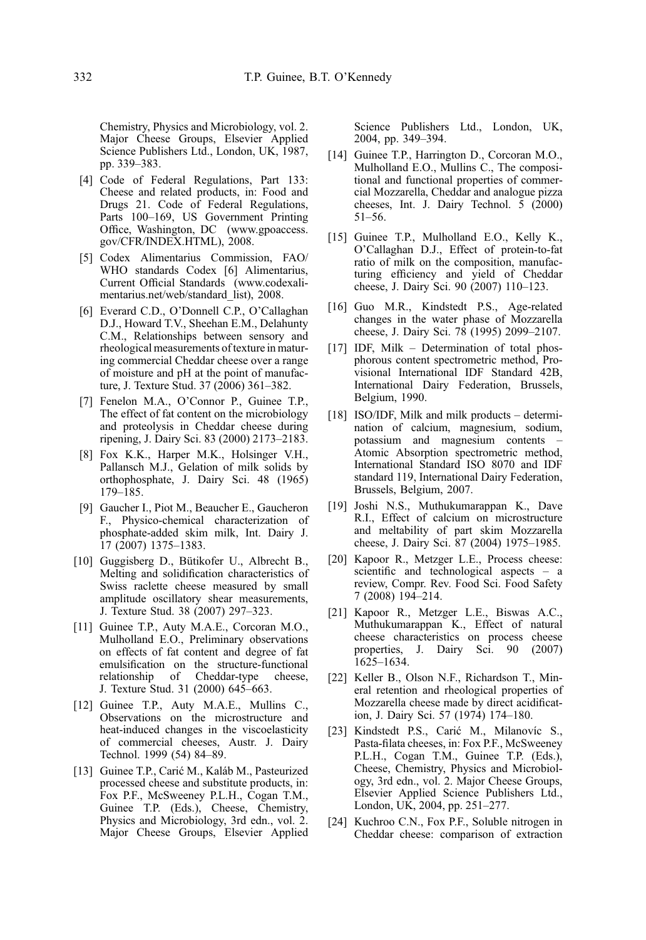<span id="page-15-0"></span>Chemistry, Physics and Microbiology, vol. 2. Major Cheese Groups, Elsevier Applied Science Publishers Ltd., London, UK, 1987, pp. 339–383.

- [4] Code of Federal Regulations, Part 133: Cheese and related products, in: Food and Drugs 21. Code of Federal Regulations, Parts 100–169, US Government Printing Office, Washington, DC (www.gpoaccess. gov/CFR/INDEX.HTML), 2008.
- [5] Codex Alimentarius Commission, FAO/ WHO standards Codex [6] Alimentarius, Current Official Standards (www.codexalimentarius.net/web/standard\_list), 2008.
- [6] Everard C.D., O'Donnell C.P., O'Callaghan D.J., Howard T.V., Sheehan E.M., Delahunty C.M., Relationships between sensory and rheological measurements of texture in maturing commercial Cheddar cheese over a range of moisture and pH at the point of manufacture, J. Texture Stud. 37 (2006) 361–382.
- [7] Fenelon M.A., O'Connor P., Guinee T.P., The effect of fat content on the microbiology and proteolysis in Cheddar cheese during ripening, J. Dairy Sci. 83 (2000) 2173–2183.
- [8] Fox K.K., Harper M.K., Holsinger V.H., Pallansch M.J., Gelation of milk solids by orthophosphate, J. Dairy Sci. 48 (1965) 179–185.
- [9] Gaucher I., Piot M., Beaucher E., Gaucheron F., Physico-chemical characterization of phosphate-added skim milk, Int. Dairy J. 17 (2007) 1375–1383.
- [10] Guggisberg D., Bütikofer U., Albrecht B., Melting and solidification characteristics of Swiss raclette cheese measured by small amplitude oscillatory shear measurements, J. Texture Stud. 38 (2007) 297–323.
- [11] Guinee T.P., Auty M.A.E., Corcoran M.O., Mulholland E.O., Preliminary observations on effects of fat content and degree of fat emulsification on the structure-functional<br>relationship of Cheddar-type cheese, relationship of Cheddar-type J. Texture Stud. 31 (2000) 645–663.
- [12] Guinee T.P., Auty M.A.E., Mullins C., Observations on the microstructure and heat-induced changes in the viscoelasticity of commercial cheeses, Austr. J. Dairy Technol. 1999 (54) 84–89.
- [13] Guinee T.P., Carić M., Kaláb M., Pasteurized processed cheese and substitute products, in: Fox P.F., McSweeney P.L.H., Cogan T.M., Guinee T.P. (Eds.), Cheese, Chemistry, Physics and Microbiology, 3rd edn., vol. 2. Major Cheese Groups, Elsevier Applied

Science Publishers Ltd., London, UK, 2004, pp. 349–394.

- [14] Guinee T.P., Harrington D., Corcoran M.O., Mulholland E.O., Mullins C., The compositional and functional properties of commercial Mozzarella, Cheddar and analogue pizza cheeses, Int. J. Dairy Technol.  $\overline{5}$  (2000) 51–56.
- [15] Guinee T.P., Mulholland E.O., Kelly K., O'Callaghan D.J., Effect of protein-to-fat ratio of milk on the composition, manufacturing efficiency and yield of Cheddar cheese, J. Dairy Sci. 90 (2007) 110–123.
- [16] Guo M.R., Kindstedt P.S., Age-related changes in the water phase of Mozzarella cheese, J. Dairy Sci. 78 (1995) 2099–2107.
- [17] IDF, Milk Determination of total phosphorous content spectrometric method, Provisional International IDF Standard 42B, International Dairy Federation, Brussels, Belgium, 1990.
- [18] ISO/IDF, Milk and milk products determination of calcium, magnesium, sodium, potassium and magnesium contents – Atomic Absorption spectrometric method, International Standard ISO 8070 and IDF standard 119, International Dairy Federation, Brussels, Belgium, 2007.
- [19] Joshi N.S., Muthukumarappan K., Dave R.I., Effect of calcium on microstructure and meltability of part skim Mozzarella cheese, J. Dairy Sci. 87 (2004) 1975–1985.
- [20] Kapoor R., Metzger L.E., Process cheese: scientific and technological aspects – a review, Compr. Rev. Food Sci. Food Safety 7 (2008) 194–214.
- [21] Kapoor R., Metzger L.E., Biswas A.C., Muthukumarappan K., Effect of natural cheese characteristics on process cheese properties, J. Dairy Sci. 90 (2007) 1625–1634.
- [22] Keller B., Olson N.F., Richardson T., Mineral retention and rheological properties of Mozzarella cheese made by direct acidification, J. Dairy Sci. 57 (1974) 174–180.
- [23] Kindstedt P.S., Carić M., Milanovíc S., Pasta-filata cheeses, in: Fox P.F., McSweeney P.L.H., Cogan T.M., Guinee T.P. (Eds.), Cheese, Chemistry, Physics and Microbiology, 3rd edn., vol. 2. Major Cheese Groups, Elsevier Applied Science Publishers Ltd., London, UK, 2004, pp. 251–277.
- [24] Kuchroo C.N., Fox P.F., Soluble nitrogen in Cheddar cheese: comparison of extraction